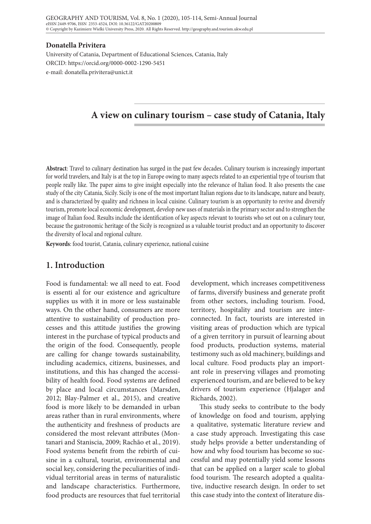#### **Donatella Privitera**

University of Catania, Department of Educational Sciences, Catania, Italy ORCID: https://orcid.org/0000-0002-1290-5451 e-mail: donatella.privitera@unict.it

# **A view on culinary tourism – case study of Catania, Italy**

**Abstract**: Travel to culinary destination has surged in the past few decades. Culinary tourism is increasingly important for world travelers, and Italy is at the top in Europe owing to many aspects related to an experiential type of tourism that people really like. The paper aims to give insight especially into the relevance of Italian food. It also presents the case study of the city Catania, Sicily. Sicily is one of the most important Italian regions due to its landscape, nature and beauty, and is characterized by quality and richness in local cuisine. Culinary tourism is an opportunity to revive and diversify tourism, promote local economic development, develop new uses of materials in the primary sector and to strengthen the image of Italian food. Results include the identification of key aspects relevant to tourists who set out on a culinary tour, because the gastronomic heritage of the Sicily is recognized as a valuable tourist product and an opportunity to discover the diversity of local and regional culture.

**Keywords**: food tourist, Catania, culinary experience, national cuisine

# **1. Introduction**

Food is fundamental: we all need to eat. Food is essenti al for our existence and agriculture supplies us with it in more or less sustainable ways. On the other hand, consumers are more attentive to sustainability of production processes and this attitude justifies the growing interest in the purchase of typical products and the origin of the food. Consequently, people are calling for change towards sustainability, including academics, citizens, businesses, and institutions, and this has changed the accessibility of health food. Food systems are defined by place and local circumstances (Marsden, 2012; Blay-Palmer et al., 2015), and creative food is more likely to be demanded in urban areas rather than in rural environments, where the authenticity and freshness of products are considered the most relevant attributes (Montanari and Staniscia, 2009; Rachão et al., 2019). Food systems benefit from the rebirth of cuisine in a cultural, tourist, environmental and social key, considering the peculiarities of individual territorial areas in terms of naturalistic and landscape characteristics. Furthermore, food products are resources that fuel territorial

development, which increases competitiveness of farms, diversify business and generate profit from other sectors, including tourism. Food, territory, hospitality and tourism are interconnected. In fact, tourists are interested in visiting areas of production which are typical of a given territory in pursuit of learning about food products, production systems, material testimony such as old machinery, buildings and local culture. Food products play an important role in preserving villages and promoting experienced tourism, and are believed to be key drivers of tourism experience (Hjalager and Richards, 2002).

This study seeks to contribute to the body of knowledge on food and tourism, applying a qualitative, systematic literature review and a case study approach. Investigating this case study helps provide a better understanding of how and why food tourism has become so successful and may potentially yield some lessons that can be applied on a larger scale to global food tourism. The research adopted a qualitative, inductive research design. In order to set this case study into the context of literature dis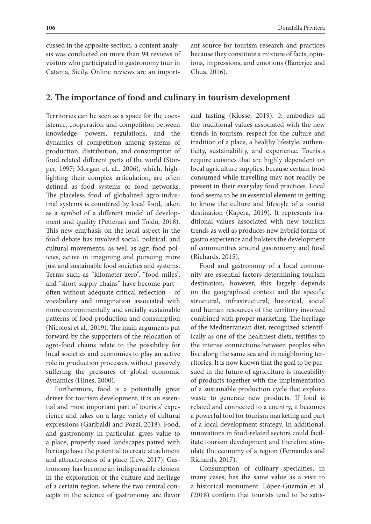cussed in the apposite section, a content analysis was conducted on more than 94 reviews of visitors who participated in gastronomy tour in Catania, Sicily. Online reviews are an important source for tourism research and practices because they constitute a mixture of facts, opinions, impressions, and emotions (Banerjee and Chua, 2016).

## **2. The importance of food and culinary in tourism development**

Territories can be seen as a space for the coexistence, cooperation and competition between knowledge, powers, regulations, and the dynamics of competition among systems of production, distribution, and consumption of food related different parts of the world (Storper, 1997; Morgan et. al., 2006), which, highlighting their complex articulation, are often defined as food systems or food networks. The placeless food of globalized agro-industrial systems is countered by local food, taken as a symbol of a different model of development and quality (Pettenati and Toldo, 2018). This new emphasis on the local aspect in the food debate has involved social, political, and cultural movements, as well as agri-food policies, active in imagining and pursuing more just and sustainable food societies and systems. Terms such as "kilometer zero", "food miles", and "short supply chains" have become part – often without adequate critical reflection – of vocabulary and imagination associated with more environmentally and socially sustainable patterns of food production and consumption (Nicolosi et al., 2019). The main arguments put forward by the supporters of the relocation of agro-food chains relate to the possibility for local societies and economies to play an active role in production processes, without passively suffering the pressures of global economic dynamics (Hines, 2000).

Furthermore, food is a potentially great driver for tourism development; it is an essential and most important part of tourists' experience and takes on a large variety of cultural expressions (Garibaldi and Pozzi, 2018). Food, and gastronomy in particular, gives value to a place; properly used landscapes paired with heritage have the potential to create attachment and attractiveness of a place (Lew, 2017). Gastronomy has become an indispensable element in the exploration of the culture and heritage of a certain region, where the two central concepts in the science of gastronomy are flavor

and tasting (Klosse, 2019). It embodies all the traditional values associated with the new trends in tourism: respect for the culture and tradition of a place, a healthy lifestyle, authenticity, sustainability, and experience. Tourists require cuisines that are highly dependent on local agriculture supplies, because certain food consumed while travelling may not readily be present in their everyday food practices. Local food seems to be an essential element in getting to know the culture and lifestyle of a tourist destination (Kapera, 2019). It represents traditional values associated with new tourism trends as well as produces new hybrid forms of gastro experience and bolsters the development of communities around gastronomy and food (Richards, 2015).

Food and gastronomy of a local community are essential factors determining tourism destination, however, this largely depends on the geographical context and the specific structural, infrastructural, historical, social and human resources of the territory involved combined with proper marketing. The heritage of the Mediterranean diet, recognized scientifically as one of the healthiest diets, testifies to the intense connections between peoples who live along the same sea and in neighboring territories. It is now known that the goal to be pursued in the future of agriculture is traceability of products together with the implementation of a sustainable production cycle that exploits waste to generate new products. If food is related and connected to a country, it becomes a powerful tool for tourism marketing and part of a local development strategy. In additional, innovations in food-related sectors could facilitate tourism development and therefore stimulate the economy of a region (Fernandes and Richards, 2017).

Consumption of culinary specialties, in many cases, has the same value as a visit to a historical monument. López-Guzmán et al. (2018) confirm that tourists tend to be satis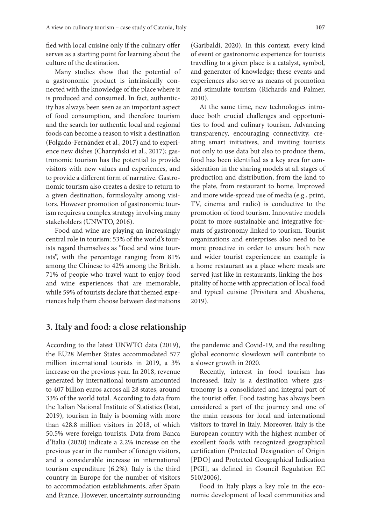fied with local cuisine only if the culinary offer serves as a starting point for learning about the culture of the destination.

Many studies show that the potential of a gastronomic product is intrinsically connected with the knowledge of the place where it is produced and consumed. In fact, authenticity has always been seen as an important aspect of food consumption, and therefore tourism and the search for authentic local and regional foods can become a reason to visit a destination (Folgado-Fernández et al., 2017) and to experience new dishes (Charzyński et al., 2017); gastronomic tourism has the potential to provide visitors with new values and experiences, and to provide a different form of narrative. Gastronomic tourism also creates a desire to return to a given destination, formsloyalty among visitors. However promotion of gastronomic tourism requires a complex strategy involving many stakeholders (UNWTO, 2016).

Food and wine are playing an increasingly central role in tourism: 53% of the world's tourists regard themselves as "food and wine tourists", with the percentage ranging from 81% among the Chinese to 42% among the British. 71% of people who travel want to enjoy food and wine experiences that are memorable, while 59% of tourists declare that themed experiences help them choose between destinations

(Garibaldi, 2020). In this context, every kind of event or gastronomic experience for tourists travelling to a given place is a catalyst, symbol, and generator of knowledge; these events and experiences also serve as means of promotion and stimulate tourism (Richards and Palmer, 2010).

At the same time, new technologies introduce both crucial challenges and opportunities to food and culinary tourism. Advancing transparency, encouraging connectivity, creating smart initiatives, and inviting tourists not only to use data but also to produce them, food has been identified as a key area for consideration in the sharing models at all stages of production and distribution, from the land to the plate, from restaurant to home. Improved and more wide-spread use of media (e.g., print, TV, cinema and radio) is conductive to the promotion of food tourism. Innovative models point to more sustainable and integrative formats of gastronomy linked to tourism. Tourist organizations and enterprises also need to be more proactive in order to ensure both new and wider tourist experiences: an example is a home restaurant as a place where meals are served just like in restaurants, linking the hospitality of home with appreciation of local food and typical cuisine (Privitera and Abushena, 2019).

# **3. Italy and food: a close relationship**

According to the latest UNWTO data (2019), the EU28 Member States accommodated 577 million international tourists in 2019, a 3% increase on the previous year. In 2018, revenue generated by international tourism amounted to 407 billion euros across all 28 states, around 33% of the world total. According to data from the Italian National Institute of Statistics (Istat, 2019), tourism in Italy is booming with more than 428.8 million visitors in 2018, of which 50.5% were foreign tourists. Data from Banca d'Italia (2020) indicate a 2.2% increase on the previous year in the number of foreign visitors, and a considerable increase in international tourism expenditure (6.2%). Italy is the third country in Europe for the number of visitors to accommodation establishments, after Spain and France. However, uncertainty surrounding

the pandemic and Covid-19, and the resulting global economic slowdown will contribute to a slower growth in 2020.

Recently, interest in food tourism has increased. Italy is a destination where gastronomy is a consolidated and integral part of the tourist offer. Food tasting has always been considered a part of the journey and one of the main reasons for local and international visitors to travel in Italy. Moreover, Italy is the European country with the highest number of excellent foods with recognized geographical certification (Protected Designation of Origin [PDO] and Protected Geographical Indication [PGI], as defined in Council Regulation EC 510/2006).

Food in Italy plays a key role in the economic development of local communities and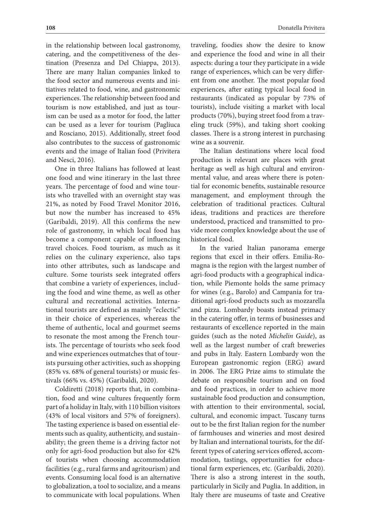in the relationship between local gastronomy, catering, and the competitiveness of the destination (Presenza and Del Chiappa, 2013). There are many Italian companies linked to the food sector and numerous events and initiatives related to food, wine, and gastronomic experiences. The relationship between food and tourism is now established, and just as tourism can be used as a motor for food, the latter can be used as a lever for tourism (Pagliuca and Rosciano, 2015). Additionally, street food also contributes to the success of gastronomic events and the image of Italian food (Privitera and Nesci, 2016).

One in three Italians has followed at least one food and wine itinerary in the last three years. The percentage of food and wine tourists who travelled with an overnight stay was 21%, as noted by Food Travel Monitor 2016, but now the number has increased to 45% (Garibaldi, 2019). All this confirms the new role of gastronomy, in which local food has become a component capable of influencing travel choices. Food tourism, as much as it relies on the culinary experience, also taps into other attributes, such as landscape and culture. Some tourists seek integrated offers that combine a variety of experiences, including the food and wine theme, as well as other cultural and recreational activities. International tourists are defined as mainly "eclectic" in their choice of experiences, whereas the theme of authentic, local and gourmet seems to resonate the most among the French tourists. The percentage of tourists who seek food and wine experiences outmatches that of tourists pursuing other activities, such as shopping (85% vs. 68% of general tourists) or music festivals (66% vs. 45%) (Garibaldi, 2020).

Coldiretti (2018) reports that, in combination, food and wine cultures frequently form part of a holiday in Italy, with 110 billion visitors (43% of local visitors and 57% of foreigners). The tasting experience is based on essential elements such as quality, authenticity, and sustainability; the green theme is a driving factor not only for agri-food production but also for 42% of tourists when choosing accommodation facilities (e.g., rural farms and agritourism) and events. Consuming local food is an alternative to globalization, a tool to socialize, and a means to communicate with local populations. When

traveling, foodies show the desire to know and experience the food and wine in all their aspects: during a tour they participate in a wide range of experiences, which can be very different from one another. The most popular food experiences, after eating typical local food in restaurants (indicated as popular by 73% of tourists), include visiting a market with local products (70%), buying street food from a traveling truck (59%), and taking short cooking classes. There is a strong interest in purchasing wine as a souvenir.

The Italian destinations where local food production is relevant are places with great heritage as well as high cultural and environmental value, and areas where there is potential for economic benefits, sustainable resource management, and employment through the celebration of traditional practices. Cultural ideas, traditions and practices are therefore understood, practiced and transmitted to provide more complex knowledge about the use of historical food.

In the varied Italian panorama emerge regions that excel in their offers. Emilia-Romagna is the region with the largest number of agri-food products with a geographical indication, while Piemonte holds the same primacy for wines (e.g., Barolo) and Campania for traditional agri-food products such as mozzarella and pizza. Lombardy boasts instead primacy in the catering offer, in terms of businesses and restaurants of excellence reported in the main guides (such as the noted *Michelin Guide*), as well as the largest number of craft breweries and pubs in Italy. Eastern Lombardy won the European gastronomic region (ERG) award in 2006. The ERG Prize aims to stimulate the debate on responsible tourism and on food and food practices, in order to achieve more sustainable food production and consumption, with attention to their environmental, social, cultural, and economic impact. Tuscany turns out to be the first Italian region for the number of farmhouses and wineries and most desired by Italian and international tourists, for the different types of catering services offered, accommodation, tastings, opportunities for educational farm experiences, etc. (Garibaldi, 2020). There is also a strong interest in the south, particularly in Sicily and Puglia. In addition, in Italy there are museums of taste and Creative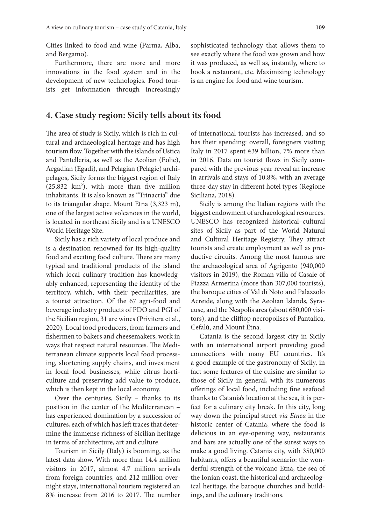Cities linked to food and wine (Parma, Alba, and Bergamo).

Furthermore, there are more and more innovations in the food system and in the development of new technologies. Food tourists get information through increasingly

#### **4. Case study region: Sicily tells about its food**

The area of study is Sicily, which is rich in cultural and archaeological heritage and has high tourism flow. Together with the islands of Ustica and Pantelleria, as well as the Aeolian (Eolie), Aegadian (Egadi), and Pelagian (Pelagie) archipelagos, Sicily forms the biggest region of Italy  $(25,832 \text{ km}^2)$ , with more than five million inhabitants. It is also known as "Trinacria" due to its triangular shape. Mount Etna (3,323 m), one of the largest active volcanoes in the world, is located in northeast Sicily and is a UNESCO World Heritage Site.

Sicily has a rich variety of local produce and is a destination renowned for its high-quality food and exciting food culture. There are many typical and traditional products of the island which local culinary tradition has knowledgably enhanced, representing the identity of the territory, which, with their peculiarities, are a tourist attraction. Of the 67 agri-food and beverage industry products of PDO and PGI of the Sicilian region, 31 are wines (Privitera et al., 2020). Local food producers, from farmers and fishermen to bakers and cheesemakers, work in ways that respect natural resources. The Mediterranean climate supports local food processing, shortening supply chains, and investment in local food businesses, while citrus horticulture and preserving add value to produce, which is then kept in the local economy.

Over the centuries, Sicily – thanks to its position in the center of the Mediterranean – has experienced domination by a succession of cultures, each of which has left traces that determine the immense richness of Sicilian heritage in terms of architecture, art and culture.

Tourism in Sicily (Italy) is booming, as the latest data show. With more than 14.4 million visitors in 2017, almost 4.7 million arrivals from foreign countries, and 212 million overnight stays, international tourism registered an 8% increase from 2016 to 2017. The number sophisticated technology that allows them to see exactly where the food was grown and how it was produced, as well as, instantly, where to book a restaurant, etc. Maximizing technology is an engine for food and wine tourism.

of international tourists has increased, and so has their spending: overall, foreigners visiting Italy in 2017 spent  $\epsilon$ 39 billion, 7% more than in 2016. Data on tourist flows in Sicily compared with the previous year reveal an increase in arrivals and stays of 10.8%, with an average three-day stay in different hotel types (Regione Siciliana, 2018).

Sicily is among the Italian regions with the biggest endowment of archaeological resources. UNESCO has recognized historical–cultural sites of Sicily as part of the World Natural and Cultural Heritage Registry. They attract tourists and create employment as well as productive circuits. Among the most famous are the archaeological area of Agrigento (940,000 visitors in 2019), the Roman villa of Casale of Piazza Armerina (more than 307,000 tourists), the baroque cities of Val di Noto and Palazzolo Acreide, along with the Aeolian Islands, Syracuse, and the Neapolis area (about 680,000 visitors), and the clifftop necropolises of Pantalica, Cefalù, and Mount Etna.

Catania is the second largest city in Sicily with an international airport providing good connections with many EU countries. It's a good example of the gastronomy of Sicily, in fact some features of the cuisine are similar to those of Sicily in general, with its numerous offerings of local food, including fine seafood thanks to Catania's location at the sea, it is perfect for a culinary city break. In this city, long way down the principal street *via Etnea* in the historic center of Catania, where the food is delicious in an eye-opening way, restaurants and bars are actually one of the surest ways to make a good living. Catania city, with 350,000 habitants, offers a beautiful scenario: the wonderful strength of the volcano Etna, the sea of the Ionian coast, the historical and archaeological heritage, the baroque churches and buildings, and the culinary traditions.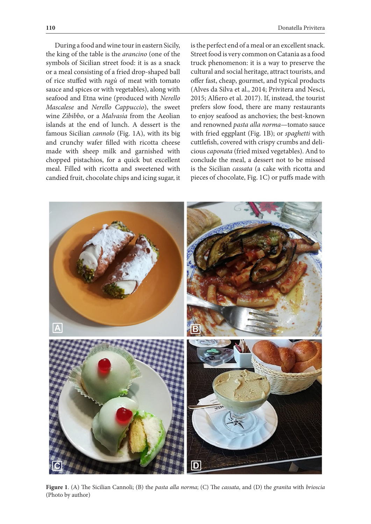During a food and wine tour in eastern Sicily, the king of the table is the *arancino* (one of the symbols of Sicilian street food: it is as a snack or a meal consisting of a fried drop-shaped ball of rice stuffed with *ragù* of meat with tomato sauce and spices or with vegetables), along with seafood and Etna wine (produced with *Nerello Mascalese* and *Nerello Cappuccio*), the sweet wine *Zibibbo*, or a *Malvasia* from the Aeolian islands at the end of lunch. A dessert is the famous Sicilian *cannolo* (Fig. 1A), with its big and crunchy wafer filled with ricotta cheese made with sheep milk and garnished with chopped pistachios, for a quick but excellent meal. Filled with ricotta and sweetened with candied fruit, chocolate chips and icing sugar, it is the perfect end of a meal or an excellent snack. Street food is very common on Catania as a food truck phenomenon: it is a way to preserve the cultural and social heritage, attract tourists, and offer fast, cheap, gourmet, and typical products (Alves da Silva et al., 2014; Privitera and Nesci, 2015; Alfiero et al. 2017). If, instead, the tourist prefers slow food, there are many restaurants to enjoy seafood as anchovies; the best-known and renowned *pasta alla norma*—tomato sauce with fried eggplant (Fig. 1B); or *spaghetti* with cuttlefish, covered with crispy crumbs and delicious *caponata* (fried mixed vegetables). And to conclude the meal, a dessert not to be missed is the Sicilian *cassata* (a cake with ricotta and pieces of chocolate, Fig. 1C) or puffs made with



**Figure 1**. (A) The Sicilian Cannoli; (B) the *pasta alla norma*; (C) The *cassata*, and (D) the *granita* with *brioscia* (Photo by author)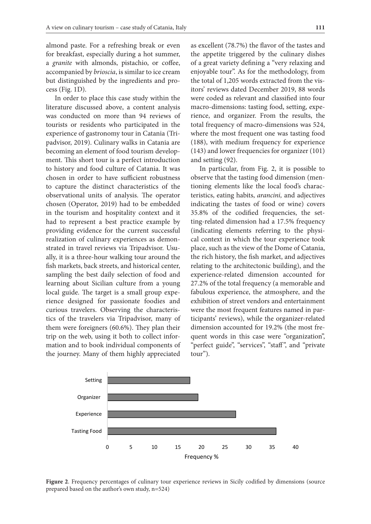almond paste. For a refreshing break or even for breakfast, especially during a hot summer, a *granite* with almonds, pistachio, or coffee, accompanied by *brioscia*, is similar to ice cream but distinguished by the ingredients and process (Fig. 1D).

In order to place this case study within the literature discussed above, a content analysis was conducted on more than 94 reviews of tourists or residents who participated in the experience of gastronomy tour in Catania (Tripadvisor, 2019). Culinary walks in Catania are becoming an element of food tourism development. This short tour is a perfect introduction to history and food culture of Catania. It was chosen in order to have sufficient robustness to capture the distinct characteristics of the observational units of analysis. The operator chosen (Operator, 2019) had to be embedded in the tourism and hospitality context and it had to represent a best practice example by providing evidence for the current successful realization of culinary experiences as demonstrated in travel reviews via Tripadvisor. Usually, it is a three-hour walking tour around the fish markets, back streets, and historical center, sampling the best daily selection of food and learning about Sicilian culture from a young local guide. The target is a small group experience designed for passionate foodies and curious travelers. Observing the characteristics of the travelers via Tripadvisor, many of them were foreigners (60.6%). They plan their trip on the web, using it both to collect information and to book individual components of the journey. Many of them highly appreciated

as excellent (78.7%) the flavor of the tastes and the appetite triggered by the culinary dishes of a great variety defining a "very relaxing and enjoyable tour". As for the methodology, from the total of 1,205 words extracted from the visitors' reviews dated December 2019, 88 words were coded as relevant and classified into four macro-dimensions: tasting food, setting, experience, and organizer. From the results, the total frequency of macro-dimensions was 524, where the most frequent one was tasting food (188), with medium frequency for experience (143) and lower frequencies for organizer (101) and setting (92).

In particular, from Fig. 2, it is possible to observe that the tasting food dimension (mentioning elements like the local food's characteristics, eating habits, *arancini,* and adjectives indicating the tastes of food or wine) covers 35.8% of the codified frequencies, the setting-related dimension had a 17.5% frequency (indicating elements referring to the physical context in which the tour experience took place, such as the view of the Dome of Catania, the rich history, the fish market, and adjectives relating to the architectonic building), and the experience-related dimension accounted for 27.2% of the total frequency (a memorable and fabulous experience, the atmosphere, and the exhibition of street vendors and entertainment were the most frequent features named in participants' reviews), while the organizer-related dimension accounted for 19.2% (the most frequent words in this case were "organization", "perfect guide", "services", "staff", and "private tour").



**Figure 2**. Frequency percentages of culinary tour experience reviews in Sicily codified by dimensions (source prepared based on the author's own study, n=524)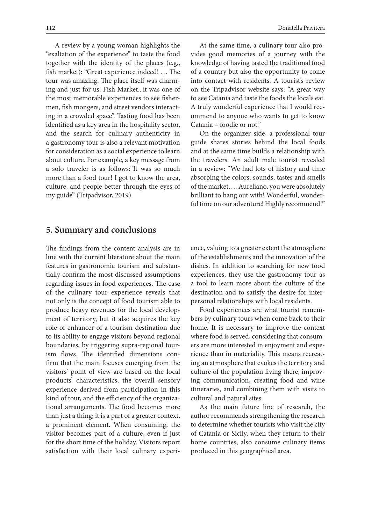A review by a young woman highlights the "exaltation of the experience" to taste the food together with the identity of the places (e.g., fish market): "Great experience indeed! … The tour was amazing. The place itself was charming and just for us. Fish Market...it was one of the most memorable experiences to see fishermen, fish mongers, and street vendors interacting in a crowded space". Tasting food has been identified as a key area in the hospitality sector, and the search for culinary authenticity in a gastronomy tour is also a relevant motivation for consideration as a social experience to learn about culture. For example, a key message from a solo traveler is as follows:"It was so much more than a food tour! I got to know the area, culture, and people better through the eyes of my guide" (Tripadvisor, 2019).

At the same time, a culinary tour also provides good memories of a journey with the knowledge of having tasted the traditional food of a country but also the opportunity to come into contact with residents. A tourist's review on the Tripadvisor website says: "A great way to see Catania and taste the foods the locals eat. A truly wonderful experience that I would recommend to anyone who wants to get to know Catania – foodie or not."

On the organizer side, a professional tour guide shares stories behind the local foods and at the same time builds a relationship with the travelers. An adult male tourist revealed in a review: "We had lots of history and time absorbing the colors, sounds, tastes and smells of the market…. Aureliano, you were absolutely brilliant to hang out with! Wonderful, wonderful time on our adventure! Highly recommend!"

## **5. Summary and conclusions**

The findings from the content analysis are in line with the current literature about the main features in gastronomic tourism and substantially confirm the most discussed assumptions regarding issues in food experiences. The case of the culinary tour experience reveals that not only is the concept of food tourism able to produce heavy revenues for the local development of territory, but it also acquires the key role of enhancer of a tourism destination due to its ability to engage visitors beyond regional boundaries, by triggering supra-regional tourism flows. The identified dimensions confirm that the main focuses emerging from the visitors' point of view are based on the local products' characteristics, the overall sensory experience derived from participation in this kind of tour, and the efficiency of the organizational arrangements. The food becomes more than just a thing; it is a part of a greater context, a prominent element. When consuming, the visitor becomes part of a culture, even if just for the short time of the holiday. Visitors report satisfaction with their local culinary experi-

ence, valuing to a greater extent the atmosphere of the establishments and the innovation of the dishes. In addition to searching for new food experiences, they use the gastronomy tour as a tool to learn more about the culture of the destination and to satisfy the desire for interpersonal relationships with local residents.

Food experiences are what tourist remembers by culinary tours when come back to their home. It is necessary to improve the context where food is served, considering that consumers are more interested in enjoyment and experience than in materiality. This means recreating an atmosphere that evokes the territory and culture of the population living there, improving communication, creating food and wine itineraries, and combining them with visits to cultural and natural sites.

As the main future line of research, the author recommends strengthening the research to determine whether tourists who visit the city of Catania or Sicily, when they return to their home countries, also consume culinary items produced in this geographical area.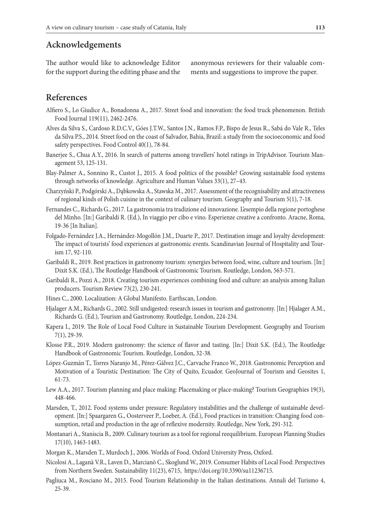## **Acknowledgements**

The author would like to acknowledge Editor for the support during the editing phase and the anonymous reviewers for their valuable comments and suggestions to improve the paper.

# **References**

- Alfiero S., Lo Giudice A., Bonadonna A., 2017. Street food and innovation: the food truck phenomenon. British Food Journal 119(11), 2462-2476.
- Alves da Silva S., Cardoso R.D.C.V., Góes J.T.W., Santos J.N., Ramos F.P., Bispo de Jesus R., Sabá do Vale R., Teles da Silva P.S., 2014. Street food on the coast of Salvador, Bahia, Brazil: a study from the socioeconomic and food safety perspectives. Food Control 40(1), 78-84.
- Banerjee S., Chua A.Y., 2016. In search of patterns among travellers' hotel ratings in TripAdvisor. Tourism Management 53, 125-131.
- Blay-Palmer A., Sonnino R., Custot J., 2015. A food politics of the possible? Growing sustainable food systems through networks of knowledge. Agriculture and Human Values 33(1), 27–43.
- Charzyński P., Podgórski A., Dąbkowska A., Stawska M., 2017. Assessment of the recognisability and attractiveness of regional kinds of Polish cuisine in the context of culinary tourism. Geography and Tourism 5(1), 7-18.
- Fernandes C., Richards G., 2017. La gastronomia tra tradizione ed innovazione. L'esempio della regione portoghese del Minho. [In:] Garibaldi R. (Ed.), In viaggio per cibo e vino. Esperienze creative a confronto. Aracne, Roma, 19-36 [In Italian].
- Folgado-Fernández J.A., Hernández-Mogollón J.M., Duarte P., 2017. Destination image and loyalty development: The impact of tourists' food experiences at gastronomic events. Scandinavian Journal of Hospitality and Tourism 17, 92-110.
- Garibaldi R., 2019. Best practices in gastronomy tourism: synergies between food, wine, culture and tourism. [In:] Dixit S.K. (Ed.), The Routledge Handbook of Gastronomic Tourism. Routledge, London, 563-571.
- Garibaldi R., Pozzi A., 2018. Creating tourism experiences combining food and culture: an analysis among Italian producers. Tourism Review 73(2), 230-241.
- Hines C., 2000. Localization: A Global Manifesto. Earthscan, London.
- Hjalager A.M., Richards G., 2002. Still undigested: research issues in tourism and gastronomy. [In:] Hjalager A.M., Richards G. (Ed.), Tourism and Gastronomy. Routledge, London, 224-234.
- Kapera I., 2019. The Role of Local Food Culture in Sustainable Tourism Development. Geography and Tourism 7(1), 29-39.
- Klosse P.R., 2019. Modern gastronomy: the science of flavor and tasting. [In:] Dixit S.K. (Ed.), The Routledge Handbook of Gastronomic Tourism. Routledge, London, 32-38.
- López-Guzmán T., Torres Naranjo M., Pérez-Gálvez J.C., Carvache Franco W., 2018. Gastronomic Perception and Motivation of a Touristic Destination: The City of Quito, Ecuador. GeoJournal of Tourism and Geosites 1, 61-73.
- Lew A.A., 2017. Tourism planning and place making: Placemaking or place-making? Tourism Geographies 19(3), 448-466.
- Marsden, T., 2012. Food systems under pressure: Regulatory instabilities and the challenge of sustainable development. [In:] Spaargaren G., Oosterveer P., Loeber, A. (Ed.), Food practices in transition: Changing food consumption, retail and production in the age of reflexive modernity. Routledge, New York, 291-312.
- Montanari A., Staniscia B., 2009. Culinary tourism as a tool for regional reequilibrium. European Planning Studies 17(10), 1463-1483.
- Morgan K., Marsden T., Murdoch J., 2006. Worlds of Food. Oxford University Press, Oxford.
- Nicolosi A., Laganà V.R., Laven D., Marcianò C., Skoglund W., 2019. Consumer Habits of Local Food: Perspectives from Northern Sweden. Sustainability 11(23), 6715, https://doi.org/10.3390/su11236715.
- Pagliuca M., Rosciano M., 2015. Food Tourism Relationship in the Italian destinations. Annali del Turismo 4, 25-39.